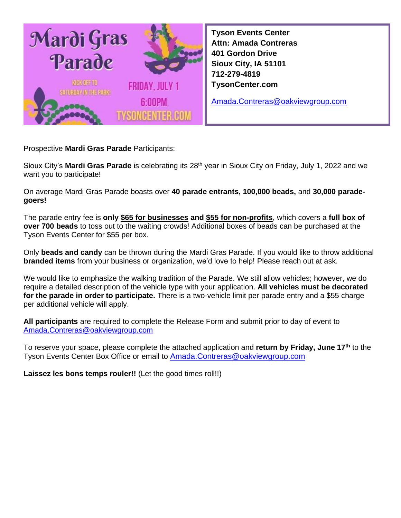

**Tyson Events Center Attn: Amada Contreras 401 Gordon Drive Sioux City, IA 51101 712-279-4819 TysonCenter.com**

[Amada.Contreras@oakviewgroup.com](mailto:Amada.Contreras@oakviewgroup.com)

Prospective **Mardi Gras Parade** Participants:

Sioux City's Mardi Gras Parade is celebrating its 28<sup>th</sup> year in Sioux City on Friday, July 1, 2022 and we want you to participate!

On average Mardi Gras Parade boasts over **40 parade entrants, 100,000 beads,** and **30,000 paradegoers!**

The parade entry fee is **only \$65 for businesses and \$55 for non-profits**, which covers a **full box of over 700 beads** to toss out to the waiting crowds! Additional boxes of beads can be purchased at the Tyson Events Center for \$55 per box.

Only **beads and candy** can be thrown during the Mardi Gras Parade. If you would like to throw additional **branded items** from your business or organization, we'd love to help! Please reach out at ask.

We would like to emphasize the walking tradition of the Parade. We still allow vehicles; however, we do require a detailed description of the vehicle type with your application. **All vehicles must be decorated for the parade in order to participate.** There is a two-vehicle limit per parade entry and a \$55 charge per additional vehicle will apply.

**All participants** are required to complete the Release Form and submit prior to day of event to [Amada.Contreras@oakviewgroup.com](mailto:Amada.Contreras@oakviewgroup.com)

To reserve your space, please complete the attached application and **return by Friday, June 17 th** to the Tyson Events Center Box Office or email to [Amada.Contreras@oakviewgroup.com](mailto:Amada.Contreras@oakviewgroup.com)

**Laissez les bons temps rouler!!** (Let the good times roll!!)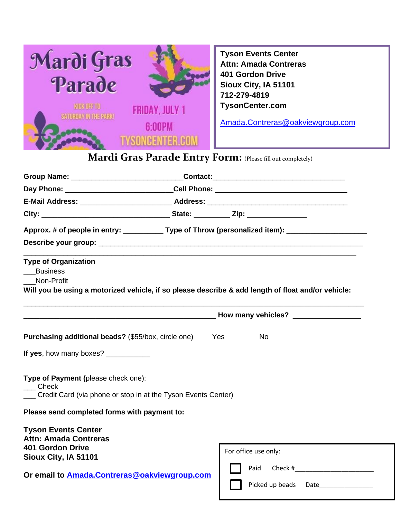

**Tyson Events Center Attn: Amada Contreras 401 Gordon Drive Sioux City, IA 51101 712-279-4819 TysonCenter.com**

[Amada.Contreras@oakviewgroup.com](mailto:Amada.Contreras@oakviewgroup.com)

## **Mardi Gras Parade Entry Form:** (Please fill out completely)

| Group Name: _______________________________Contact:_____________________________                                                                                                                                               |                                     |  |
|--------------------------------------------------------------------------------------------------------------------------------------------------------------------------------------------------------------------------------|-------------------------------------|--|
|                                                                                                                                                                                                                                |                                     |  |
| E-Mail Address: National Address: National Address: National Address: National Address: National Address: National Address: National Address: National Address: National Address: National Address: National Address: National |                                     |  |
|                                                                                                                                                                                                                                |                                     |  |
| Approx. # of people in entry: _____________Type of Throw (personalized item): ______________________                                                                                                                           |                                     |  |
| <b>Type of Organization</b><br><b>Business</b><br>Non-Profit<br>Will you be using a motorized vehicle, if so please describe & add length of float and/or vehicle:                                                             |                                     |  |
|                                                                                                                                                                                                                                | How many vehicles? ________________ |  |
| <b>Purchasing additional beads?</b> (\$55/box, circle one)                                                                                                                                                                     | Yes<br><b>No</b>                    |  |
| If yes, how many boxes? __________                                                                                                                                                                                             |                                     |  |
| Type of Payment (please check one):<br>$\_\_$ Check<br>Credit Card (via phone or stop in at the Tyson Events Center)                                                                                                           |                                     |  |
| Please send completed forms with payment to:                                                                                                                                                                                   |                                     |  |
| <b>Tyson Events Center</b><br><b>Attn: Amada Contreras</b><br><b>401 Gordon Drive</b>                                                                                                                                          | For office use only:                |  |
| Sioux City, IA 51101<br>Or email to <b>Amada.Contreras@oakviewgroup.com</b>                                                                                                                                                    | Paid<br>Picked up beads Date        |  |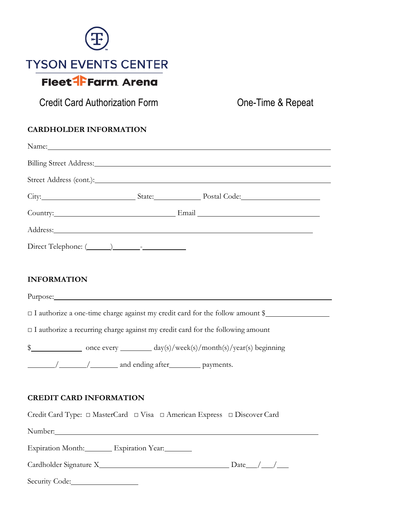

Credit Card Authorization Form **One-Time & Repeat** 

## **CARDHOLDER INFORMATION**

| Name: Name and the second contract of the second contract of the second contract of the second contract of the second contract of the second contract of the second contract of the second contract of the second contract of |                                                                                                                                                                                                                                |  |
|-------------------------------------------------------------------------------------------------------------------------------------------------------------------------------------------------------------------------------|--------------------------------------------------------------------------------------------------------------------------------------------------------------------------------------------------------------------------------|--|
|                                                                                                                                                                                                                               |                                                                                                                                                                                                                                |  |
|                                                                                                                                                                                                                               |                                                                                                                                                                                                                                |  |
|                                                                                                                                                                                                                               | City: City: State: Postal Code:                                                                                                                                                                                                |  |
|                                                                                                                                                                                                                               | Country: Email Email Email Email Email Country:                                                                                                                                                                                |  |
|                                                                                                                                                                                                                               | Address: Andress: Address: Address: Address: Address: Address: Address: Address: Address: Address: Address: Address: Address: Address: Address: Address: Address: Address: Address: Address: Address: Address: Address: Addres |  |
|                                                                                                                                                                                                                               |                                                                                                                                                                                                                                |  |
|                                                                                                                                                                                                                               |                                                                                                                                                                                                                                |  |
| <b>INFORMATION</b>                                                                                                                                                                                                            |                                                                                                                                                                                                                                |  |
| Purpose: 2000 and 2000 and 2000 and 2000 and 2000 and 2000 and 2000 and 2000 and 2000 and 2000 and 2000 and 20                                                                                                                |                                                                                                                                                                                                                                |  |
|                                                                                                                                                                                                                               | □ I authorize a one-time charge against my credit card for the follow amount \$                                                                                                                                                |  |
|                                                                                                                                                                                                                               | $\Box$ I authorize a recurring charge against my credit card for the following amount                                                                                                                                          |  |
|                                                                                                                                                                                                                               |                                                                                                                                                                                                                                |  |
|                                                                                                                                                                                                                               |                                                                                                                                                                                                                                |  |
|                                                                                                                                                                                                                               |                                                                                                                                                                                                                                |  |
| <b>CREDIT CARD INFORMATION</b>                                                                                                                                                                                                |                                                                                                                                                                                                                                |  |

Credit Card Type: **□** MasterCard **□** Visa **□** American Express **□** Discover Card

Number:

Expiration Month: Expiration Year:

Cardholder Signature X Date / /

Security Code: 2000